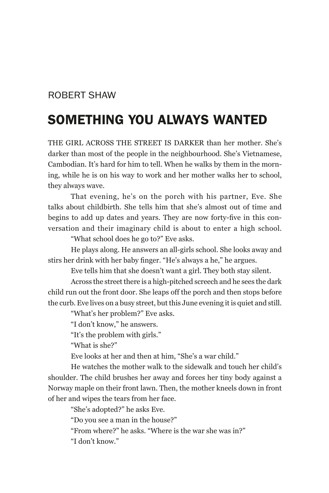## Robert Shaw

## Something You Always Wanted

The girl across the street is darker than her mother. She's darker than most of the people in the neighbourhood. She's Vietnamese, Cambodian. It's hard for him to tell. When he walks by them in the morning, while he is on his way to work and her mother walks her to school, they always wave.

That evening, he's on the porch with his partner, Eve. She talks about childbirth. She tells him that she's almost out of time and begins to add up dates and years. They are now forty-five in this conversation and their imaginary child is about to enter a high school.

"What school does he go to?" Eve asks.

He plays along. He answers an all-girls school. She looks away and stirs her drink with her baby finger. "He's always a he," he argues.

Eve tells him that she doesn't want a girl. They both stay silent.

Across the street there is a high-pitched screech and he sees the dark child run out the front door. She leaps off the porch and then stops before the curb. Eve lives on a busy street, but this June evening it is quiet and still.

"What's her problem?" Eve asks.

"I don't know," he answers.

"It's the problem with girls."

"What is she?"

Eve looks at her and then at him, "She's a war child."

He watches the mother walk to the sidewalk and touch her child's shoulder. The child brushes her away and forces her tiny body against a Norway maple on their front lawn. Then, the mother kneels down in front of her and wipes the tears from her face.

"She's adopted?" he asks Eve.

"Do you see a man in the house?"

"From where?" he asks. "Where is the war she was in?"

"I don't know."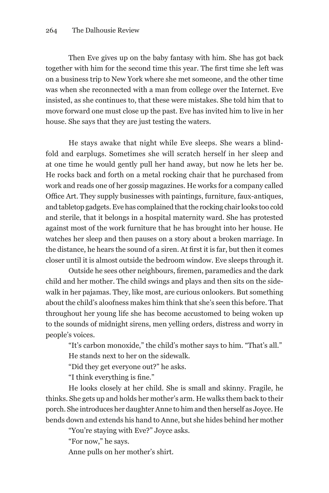Then Eve gives up on the baby fantasy with him. She has got back together with him for the second time this year. The first time she left was on a business trip to New York where she met someone, and the other time was when she reconnected with a man from college over the Internet. Eve insisted, as she continues to, that these were mistakes. She told him that to move forward one must close up the past. Eve has invited him to live in her house. She says that they are just testing the waters.

He stays awake that night while Eve sleeps. She wears a blindfold and earplugs. Sometimes she will scratch herself in her sleep and at one time he would gently pull her hand away, but now he lets her be. He rocks back and forth on a metal rocking chair that he purchased from work and reads one of her gossip magazines. He works for a company called Office Art. They supply businesses with paintings, furniture, faux-antiques, and tabletop gadgets. Eve has complained that the rocking chair looks too cold and sterile, that it belongs in a hospital maternity ward. She has protested against most of the work furniture that he has brought into her house. He watches her sleep and then pauses on a story about a broken marriage. In the distance, he hears the sound of a siren. At first it is far, but then it comes closer until it is almost outside the bedroom window. Eve sleeps through it.

Outside he sees other neighbours, firemen, paramedics and the dark child and her mother. The child swings and plays and then sits on the sidewalk in her pajamas. They, like most, are curious onlookers. But something about the child's aloofness makes him think that she's seen this before. That throughout her young life she has become accustomed to being woken up to the sounds of midnight sirens, men yelling orders, distress and worry in people's voices.

"It's carbon monoxide," the child's mother says to him. "That's all." He stands next to her on the sidewalk.

"Did they get everyone out?" he asks.

"I think everything is fine."

He looks closely at her child. She is small and skinny. Fragile, he thinks. She gets up and holds her mother's arm. He walks them back to their porch. She introduces her daughter Anne to him and then herself as Joyce. He bends down and extends his hand to Anne, but she hides behind her mother

"You're staying with Eve?" Joyce asks.

"For now," he says.

Anne pulls on her mother's shirt.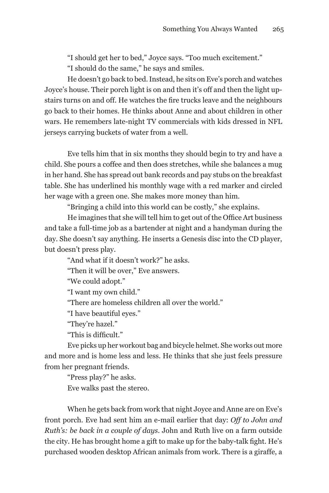"I should get her to bed," Joyce says. "Too much excitement." "I should do the same," he says and smiles.

He doesn't go back to bed. Instead, he sits on Eve's porch and watches Joyce's house. Their porch light is on and then it's off and then the light upstairs turns on and off. He watches the fire trucks leave and the neighbours go back to their homes. He thinks about Anne and about children in other wars. He remembers late-night TV commercials with kids dressed in NFL jerseys carrying buckets of water from a well.

Eve tells him that in six months they should begin to try and have a child. She pours a coffee and then does stretches, while she balances a mug in her hand. She has spread out bank records and pay stubs on the breakfast table. She has underlined his monthly wage with a red marker and circled her wage with a green one. She makes more money than him.

"Bringing a child into this world can be costly," she explains.

He imagines that she will tell him to get out of the Office Art business and take a full-time job as a bartender at night and a handyman during the day. She doesn't say anything. He inserts a Genesis disc into the CD player, but doesn't press play.

"And what if it doesn't work?" he asks.

"Then it will be over," Eve answers.

"We could adopt."

"I want my own child."

"There are homeless children all over the world."

"I have beautiful eyes."

"They're hazel."

"This is difficult."

Eve picks up her workout bag and bicycle helmet. She works out more and more and is home less and less. He thinks that she just feels pressure from her pregnant friends.

"Press play?" he asks. Eve walks past the stereo.

When he gets back from work that night Joyce and Anne are on Eve's front porch. Eve had sent him an e-mail earlier that day: *Off to John and Ruth's: be back in a couple of days*. John and Ruth live on a farm outside the city. He has brought home a gift to make up for the baby-talk fight. He's purchased wooden desktop African animals from work. There is a giraffe, a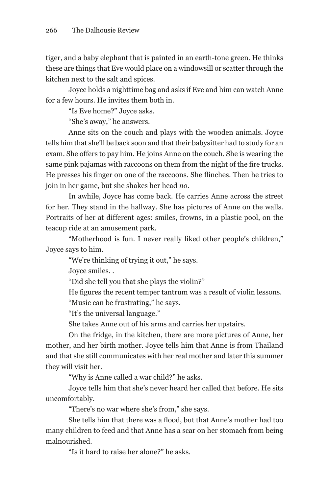tiger, and a baby elephant that is painted in an earth-tone green. He thinks these are things that Eve would place on a windowsill or scatter through the kitchen next to the salt and spices.

Joyce holds a nighttime bag and asks if Eve and him can watch Anne for a few hours. He invites them both in.

"Is Eve home?" Joyce asks.

"She's away," he answers.

Anne sits on the couch and plays with the wooden animals. Joyce tells him that she'll be back soon and that their babysitter had to study for an exam. She offers to pay him. He joins Anne on the couch. She is wearing the same pink pajamas with raccoons on them from the night of the fire trucks. He presses his finger on one of the raccoons. She flinches. Then he tries to join in her game, but she shakes her head *no*.

In awhile, Joyce has come back. He carries Anne across the street for her. They stand in the hallway. She has pictures of Anne on the walls. Portraits of her at different ages: smiles, frowns, in a plastic pool, on the teacup ride at an amusement park.

"Motherhood is fun. I never really liked other people's children," Joyce says to him.

"We're thinking of trying it out," he says.

Joyce smiles. .

"Did she tell you that she plays the violin?"

He figures the recent temper tantrum was a result of violin lessons.

"Music can be frustrating," he says.

"It's the universal language."

She takes Anne out of his arms and carries her upstairs.

On the fridge, in the kitchen, there are more pictures of Anne, her mother, and her birth mother. Joyce tells him that Anne is from Thailand and that she still communicates with her real mother and later this summer they will visit her.

"Why is Anne called a war child?" he asks.

Joyce tells him that she's never heard her called that before. He sits uncomfortably.

"There's no war where she's from," she says.

She tells him that there was a flood, but that Anne's mother had too many children to feed and that Anne has a scar on her stomach from being malnourished.

"Is it hard to raise her alone?" he asks.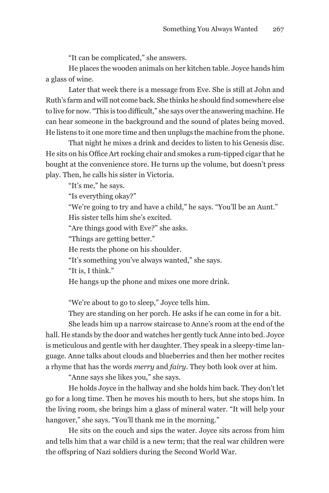"It can be complicated," she answers.

He places the wooden animals on her kitchen table. Joyce hands him a glass of wine.

Later that week there is a message from Eve. She is still at John and Ruth's farm and will not come back. She thinks he should find somewhere else to live for now. "This is too difficult," she says over the answering machine. He can hear someone in the background and the sound of plates being moved. He listens to it one more time and then unplugs the machine from the phone.

That night he mixes a drink and decides to listen to his Genesis disc. He sits on his Office Art rocking chair and smokes a rum-tipped cigar that he bought at the convenience store. He turns up the volume, but doesn't press play. Then, he calls his sister in Victoria.

"It's me," he says.

"Is everything okay?"

"We're going to try and have a child," he says. "You'll be an Aunt."

His sister tells him she's excited.

"Are things good with Eve?" she asks.

"Things are getting better."

He rests the phone on his shoulder.

"It's something you've always wanted," she says.

"It is, I think."

He hangs up the phone and mixes one more drink.

"We're about to go to sleep," Joyce tells him.

They are standing on her porch. He asks if he can come in for a bit.

She leads him up a narrow staircase to Anne's room at the end of the hall. He stands by the door and watches her gently tuck Anne into bed. Joyce is meticulous and gentle with her daughter. They speak in a sleepy-time language. Anne talks about clouds and blueberries and then her mother recites a rhyme that has the words *merry* and *fairy*. They both look over at him.

"Anne says she likes you," she says.

He holds Joyce in the hallway and she holds him back. They don't let go for a long time. Then he moves his mouth to hers, but she stops him. In the living room, she brings him a glass of mineral water. "It will help your hangover," she says. "You'll thank me in the morning."

He sits on the couch and sips the water. Joyce sits across from him and tells him that a war child is a new term; that the real war children were the offspring of Nazi soldiers during the Second World War.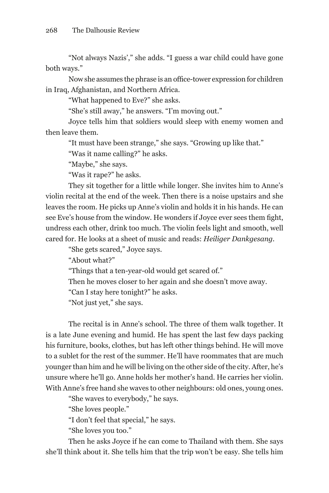"Not always Nazis'," she adds. "I guess a war child could have gone both ways."

Now she assumes the phrase is an office-tower expression for children in Iraq, Afghanistan, and Northern Africa.

"What happened to Eve?" she asks.

"She's still away," he answers. "I'm moving out."

Joyce tells him that soldiers would sleep with enemy women and then leave them.

"It must have been strange," she says. "Growing up like that."

"Was it name calling?" he asks.

"Maybe," she says.

"Was it rape?" he asks.

They sit together for a little while longer. She invites him to Anne's violin recital at the end of the week. Then there is a noise upstairs and she leaves the room. He picks up Anne's violin and holds it in his hands. He can see Eve's house from the window. He wonders if Joyce ever sees them fight, undress each other, drink too much. The violin feels light and smooth, well cared for. He looks at a sheet of music and reads: *Heiliger Dankgesang.*

"She gets scared," Joyce says.

"About what?"

"Things that a ten-year-old would get scared of."

Then he moves closer to her again and she doesn't move away.

"Can I stay here tonight?" he asks.

"Not just yet," she says.

The recital is in Anne's school. The three of them walk together. It is a late June evening and humid. He has spent the last few days packing his furniture, books, clothes, but has left other things behind. He will move to a sublet for the rest of the summer. He'll have roommates that are much younger than him and he will be living on the other side of the city. After, he's unsure where he'll go. Anne holds her mother's hand. He carries her violin. With Anne's free hand she waves to other neighbours: old ones, young ones.

"She waves to everybody," he says.

"She loves people."

"I don't feel that special," he says.

"She loves you too."

Then he asks Joyce if he can come to Thailand with them. She says she'll think about it. She tells him that the trip won't be easy. She tells him